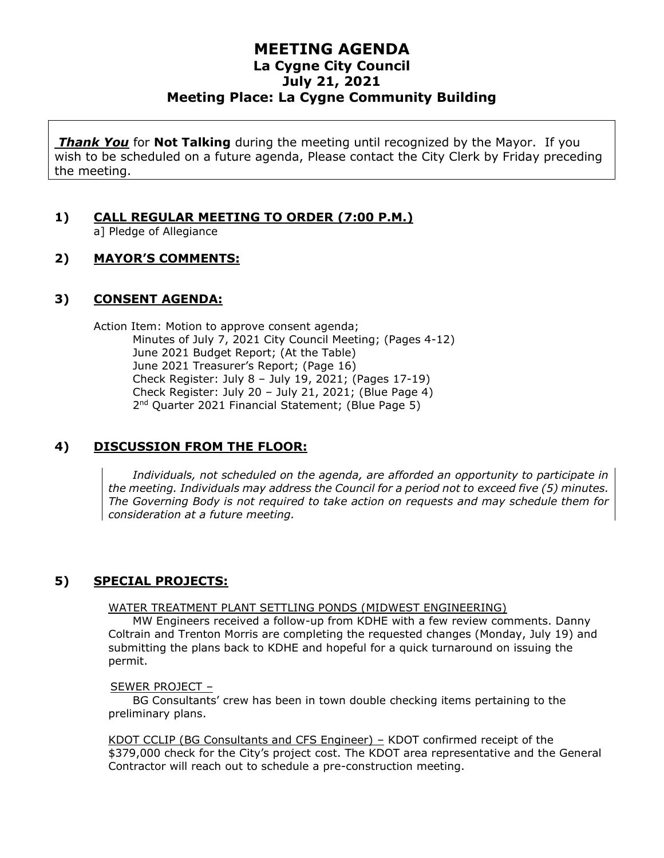# **MEETING AGENDA La Cygne City Council July 21, 2021 Meeting Place: La Cygne Community Building**

*Thank You* for **Not Talking** during the meeting until recognized by the Mayor. If you wish to be scheduled on a future agenda, Please contact the City Clerk by Friday preceding the meeting.

# **1) CALL REGULAR MEETING TO ORDER (7:00 P.M.)**

a] Pledge of Allegiance

## **2) MAYOR'S COMMENTS:**

#### **3) CONSENT AGENDA:**

Action Item: Motion to approve consent agenda; Minutes of July 7, 2021 City Council Meeting; (Pages 4-12) June 2021 Budget Report; (At the Table) June 2021 Treasurer's Report; (Page 16) Check Register: July 8 – July 19, 2021; (Pages 17-19) Check Register: July 20 – July 21, 2021; (Blue Page 4) 2<sup>nd</sup> Quarter 2021 Financial Statement; (Blue Page 5)

# **4) DISCUSSION FROM THE FLOOR:**

*Individuals, not scheduled on the agenda, are afforded an opportunity to participate in the meeting. Individuals may address the Council for a period not to exceed five (5) minutes. The Governing Body is not required to take action on requests and may schedule them for consideration at a future meeting.*

# **5) SPECIAL PROJECTS:**

#### WATER TREATMENT PLANT SETTLING PONDS (MIDWEST ENGINEERING)

MW Engineers received a follow-up from KDHE with a few review comments. Danny Coltrain and Trenton Morris are completing the requested changes (Monday, July 19) and submitting the plans back to KDHE and hopeful for a quick turnaround on issuing the permit.

#### SEWER PROJECT –

BG Consultants' crew has been in town double checking items pertaining to the preliminary plans.

KDOT CCLIP (BG Consultants and CFS Engineer) – KDOT confirmed receipt of the \$379,000 check for the City's project cost. The KDOT area representative and the General Contractor will reach out to schedule a pre-construction meeting.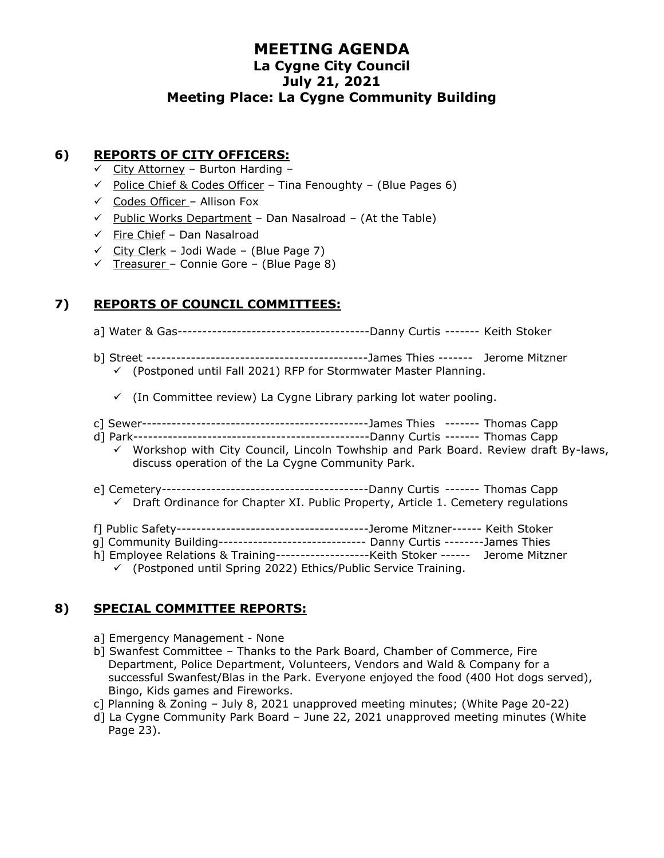# **MEETING AGENDA La Cygne City Council July 21, 2021 Meeting Place: La Cygne Community Building**

## **6) REPORTS OF CITY OFFICERS:**

- $\checkmark$  City Attorney Burton Harding –
- $\checkmark$  Police Chief & Codes Officer Tina Fenoughty (Blue Pages 6)
- $\checkmark$  Codes Officer Allison Fox
- $\checkmark$  Public Works Department Dan Nasalroad (At the Table)
- $\checkmark$  Fire Chief Dan Nasalroad
- $\checkmark$  City Clerk Jodi Wade (Blue Page 7)
- $\checkmark$  Treasurer Connie Gore (Blue Page 8)

## **7) REPORTS OF COUNCIL COMMITTEES:**

- a] Water & Gas---------------------------------------Danny Curtis ------- Keith Stoker
- b] Street ---------------------------------------------James Thies ------- Jerome Mitzner  $\checkmark$  (Postponed until Fall 2021) RFP for Stormwater Master Planning.
	- $\checkmark$  (In Committee review) La Cygne Library parking lot water pooling.
- c] Sewer----------------------------------------------James Thies ------- Thomas Capp
- d] Park------------------------------------------------Danny Curtis ------- Thomas Capp
	- $\checkmark$  Workshop with City Council, Lincoln Towhship and Park Board. Review draft By-laws, discuss operation of the La Cygne Community Park.
- e] Cemetery------------------------------------------Danny Curtis ------- Thomas Capp
- ✓ Draft Ordinance for Chapter XI. Public Property, Article 1. Cemetery regulations
- f] Public Safety---------------------------------------Jerome Mitzner------ Keith Stoker
- g] Community Building------------------------------ Danny Curtis --------James Thies
- h] Employee Relations & Training-------------------Keith Stoker ------ Jerome Mitzner

✓ (Postponed until Spring 2022) Ethics/Public Service Training.

#### **8) SPECIAL COMMITTEE REPORTS:**

- a] Emergency Management None
- b] Swanfest Committee Thanks to the Park Board, Chamber of Commerce, Fire Department, Police Department, Volunteers, Vendors and Wald & Company for a successful Swanfest/Blas in the Park. Everyone enjoyed the food (400 Hot dogs served), Bingo, Kids games and Fireworks.
- c] Planning & Zoning July 8, 2021 unapproved meeting minutes; (White Page 20-22)
- d] La Cygne Community Park Board June 22, 2021 unapproved meeting minutes (White Page 23).